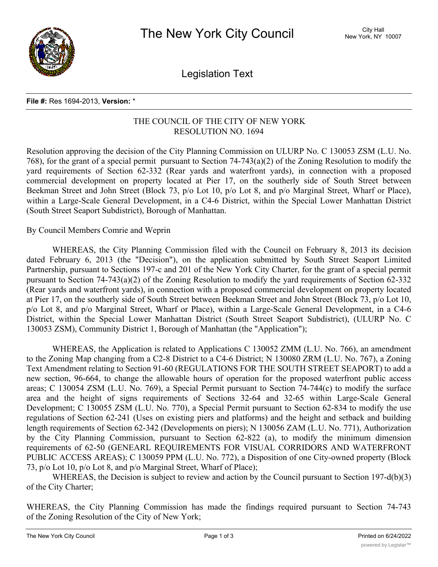

Legislation Text

## **File #:** Res 1694-2013, **Version:** \*

## THE COUNCIL OF THE CITY OF NEW YORK RESOLUTION NO. 1694

Resolution approving the decision of the City Planning Commission on ULURP No. C 130053 ZSM (L.U. No. 768), for the grant of a special permit pursuant to Section 74-743(a)(2) of the Zoning Resolution to modify the yard requirements of Section 62-332 (Rear yards and waterfront yards), in connection with a proposed commercial development on property located at Pier 17, on the southerly side of South Street between Beekman Street and John Street (Block 73, p/o Lot 10, p/o Lot 8, and p/o Marginal Street, Wharf or Place), within a Large-Scale General Development, in a C4-6 District, within the Special Lower Manhattan District (South Street Seaport Subdistrict), Borough of Manhattan.

## By Council Members Comrie and Weprin

WHEREAS, the City Planning Commission filed with the Council on February 8, 2013 its decision dated February 6, 2013 (the "Decision"), on the application submitted by South Street Seaport Limited Partnership, pursuant to Sections 197-c and 201 of the New York City Charter, for the grant of a special permit pursuant to Section 74-743(a)(2) of the Zoning Resolution to modify the yard requirements of Section 62-332 (Rear yards and waterfront yards), in connection with a proposed commercial development on property located at Pier 17, on the southerly side of South Street between Beekman Street and John Street (Block 73, p/o Lot 10, p/o Lot 8, and p/o Marginal Street, Wharf or Place), within a Large-Scale General Development, in a C4-6 District, within the Special Lower Manhattan District (South Street Seaport Subdistrict), (ULURP No. C 130053 ZSM), Community District 1, Borough of Manhattan (the "Application");

WHEREAS, the Application is related to Applications C 130052 ZMM (L.U. No. 766), an amendment to the Zoning Map changing from a C2-8 District to a C4-6 District; N 130080 ZRM (L.U. No. 767), a Zoning Text Amendment relating to Section 91-60 (REGULATIONS FOR THE SOUTH STREET SEAPORT) to add a new section, 96-664, to change the allowable hours of operation for the proposed waterfront public access areas; C 130054 ZSM (L.U. No. 769), a Special Permit pursuant to Section 74-744(c) to modify the surface area and the height of signs requirements of Sections 32-64 and 32-65 within Large-Scale General Development; C 130055 ZSM (L.U. No. 770), a Special Permit pursuant to Section 62-834 to modify the use regulations of Section 62-241 (Uses on existing piers and platforms) and the height and setback and building length requirements of Section 62-342 (Developments on piers); N 130056 ZAM (L.U. No. 771), Authorization by the City Planning Commission, pursuant to Section 62-822 (a), to modify the minimum dimension requirements of 62-50 (GENEARL REQUIREMENTS FOR VISUAL CORRIDORS AND WATERFRONT PUBLIC ACCESS AREAS); C 130059 PPM (L.U. No. 772), a Disposition of one City-owned property (Block 73, p/o Lot 10, p/o Lot 8, and p/o Marginal Street, Wharf of Place);

WHEREAS, the Decision is subject to review and action by the Council pursuant to Section 197-d(b)(3) of the City Charter;

WHEREAS, the City Planning Commission has made the findings required pursuant to Section 74-743 of the Zoning Resolution of the City of New York;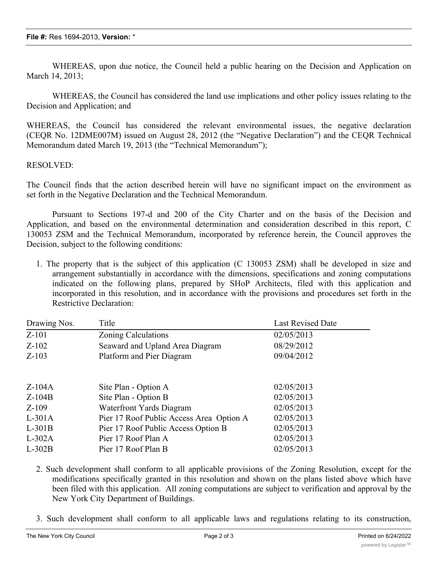WHEREAS, upon due notice, the Council held a public hearing on the Decision and Application on March 14, 2013;

WHEREAS, the Council has considered the land use implications and other policy issues relating to the Decision and Application; and

WHEREAS, the Council has considered the relevant environmental issues, the negative declaration (CEQR No. 12DME007M) issued on August 28, 2012 (the "Negative Declaration") and the CEQR Technical Memorandum dated March 19, 2013 (the "Technical Memorandum");

## RESOLVED:

The Council finds that the action described herein will have no significant impact on the environment as set forth in the Negative Declaration and the Technical Memorandum.

Pursuant to Sections 197-d and 200 of the City Charter and on the basis of the Decision and Application, and based on the environmental determination and consideration described in this report, C 130053 ZSM and the Technical Memorandum, incorporated by reference herein, the Council approves the Decision, subject to the following conditions:

1. The property that is the subject of this application (C 130053 ZSM) shall be developed in size and arrangement substantially in accordance with the dimensions, specifications and zoning computations indicated on the following plans, prepared by SHoP Architects, filed with this application and incorporated in this resolution, and in accordance with the provisions and procedures set forth in the Restrictive Declaration:

| Drawing Nos. | Title                                    | <b>Last Revised Date</b> |
|--------------|------------------------------------------|--------------------------|
| $Z-101$      | Zoning Calculations                      | 02/05/2013               |
| $Z-102$      | Seaward and Upland Area Diagram          | 08/29/2012               |
| $Z-103$      | Platform and Pier Diagram                | 09/04/2012               |
|              |                                          |                          |
| $Z-104A$     | Site Plan - Option A                     | 02/05/2013               |
| $Z-104B$     | Site Plan - Option B                     | 02/05/2013               |
| $Z-109$      | Waterfront Yards Diagram                 | 02/05/2013               |
| $L-301A$     | Pier 17 Roof Public Access Area Option A | 02/05/2013               |
| $L-301B$     | Pier 17 Roof Public Access Option B      | 02/05/2013               |
| $L-302A$     | Pier 17 Roof Plan A                      | 02/05/2013               |
| $L-302B$     | Pier 17 Roof Plan B                      | 02/05/2013               |

- 2. Such development shall conform to all applicable provisions of the Zoning Resolution, except for the modifications specifically granted in this resolution and shown on the plans listed above which have been filed with this application. All zoning computations are subject to verification and approval by the New York City Department of Buildings.
- 3. Such development shall conform to all applicable laws and regulations relating to its construction,